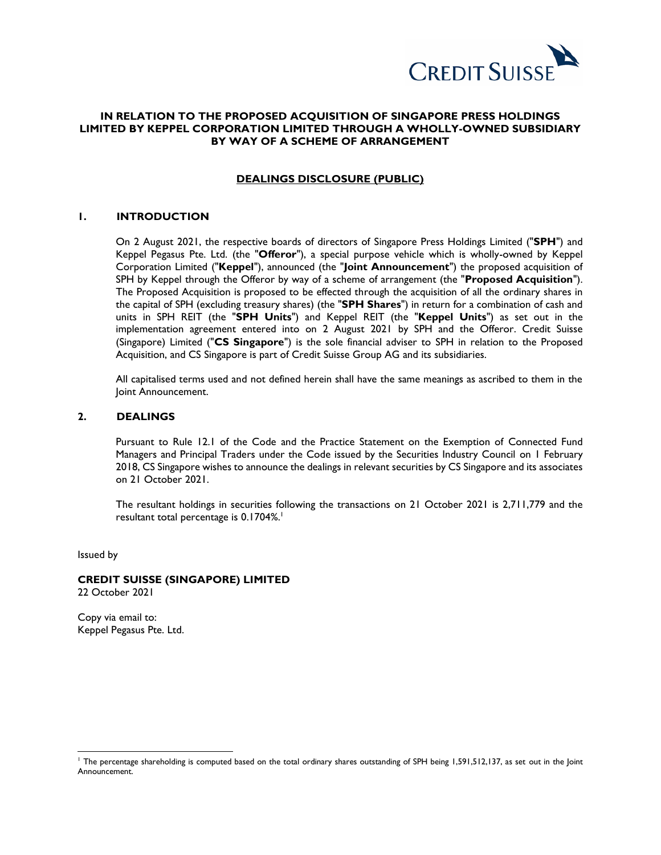

# **IN RELATION TO THE PROPOSED ACQUISITION OF SINGAPORE PRESS HOLDINGS LIMITED BY KEPPEL CORPORATION LIMITED THROUGH A WHOLLY-OWNED SUBSIDIARY BY WAY OF A SCHEME OF ARRANGEMENT**

## **DEALINGS DISCLOSURE (PUBLIC)**

## **1. INTRODUCTION**

On 2 August 2021, the respective boards of directors of Singapore Press Holdings Limited ("**SPH**") and Keppel Pegasus Pte. Ltd. (the "**Offeror**"), a special purpose vehicle which is wholly-owned by Keppel Corporation Limited ("**Keppel**"), announced (the "**Joint Announcement**") the proposed acquisition of SPH by Keppel through the Offeror by way of a scheme of arrangement (the "**Proposed Acquisition**"). The Proposed Acquisition is proposed to be effected through the acquisition of all the ordinary shares in the capital of SPH (excluding treasury shares) (the "**SPH Shares**") in return for a combination of cash and units in SPH REIT (the "**SPH Units**") and Keppel REIT (the "**Keppel Units**") as set out in the implementation agreement entered into on 2 August 2021 by SPH and the Offeror. Credit Suisse (Singapore) Limited ("**CS Singapore**") is the sole financial adviser to SPH in relation to the Proposed Acquisition, and CS Singapore is part of Credit Suisse Group AG and its subsidiaries.

All capitalised terms used and not defined herein shall have the same meanings as ascribed to them in the Joint Announcement.

## **2. DEALINGS**

Pursuant to Rule 12.1 of the Code and the Practice Statement on the Exemption of Connected Fund Managers and Principal Traders under the Code issued by the Securities Industry Council on 1 February 2018, CS Singapore wishes to announce the dealings in relevant securities by CS Singapore and its associates on 21 October 2021.

The resultant holdings in securities following the transactions on 21 October 2021 is 2,711,779 and the resultant total percentage is 0.1704%. 1

Issued by

 $\overline{a}$ 

# **CREDIT SUISSE (SINGAPORE) LIMITED**

22 October 2021

Copy via email to: Keppel Pegasus Pte. Ltd.

<sup>1</sup> The percentage shareholding is computed based on the total ordinary shares outstanding of SPH being 1,591,512,137, as set out in the Joint Announcement.